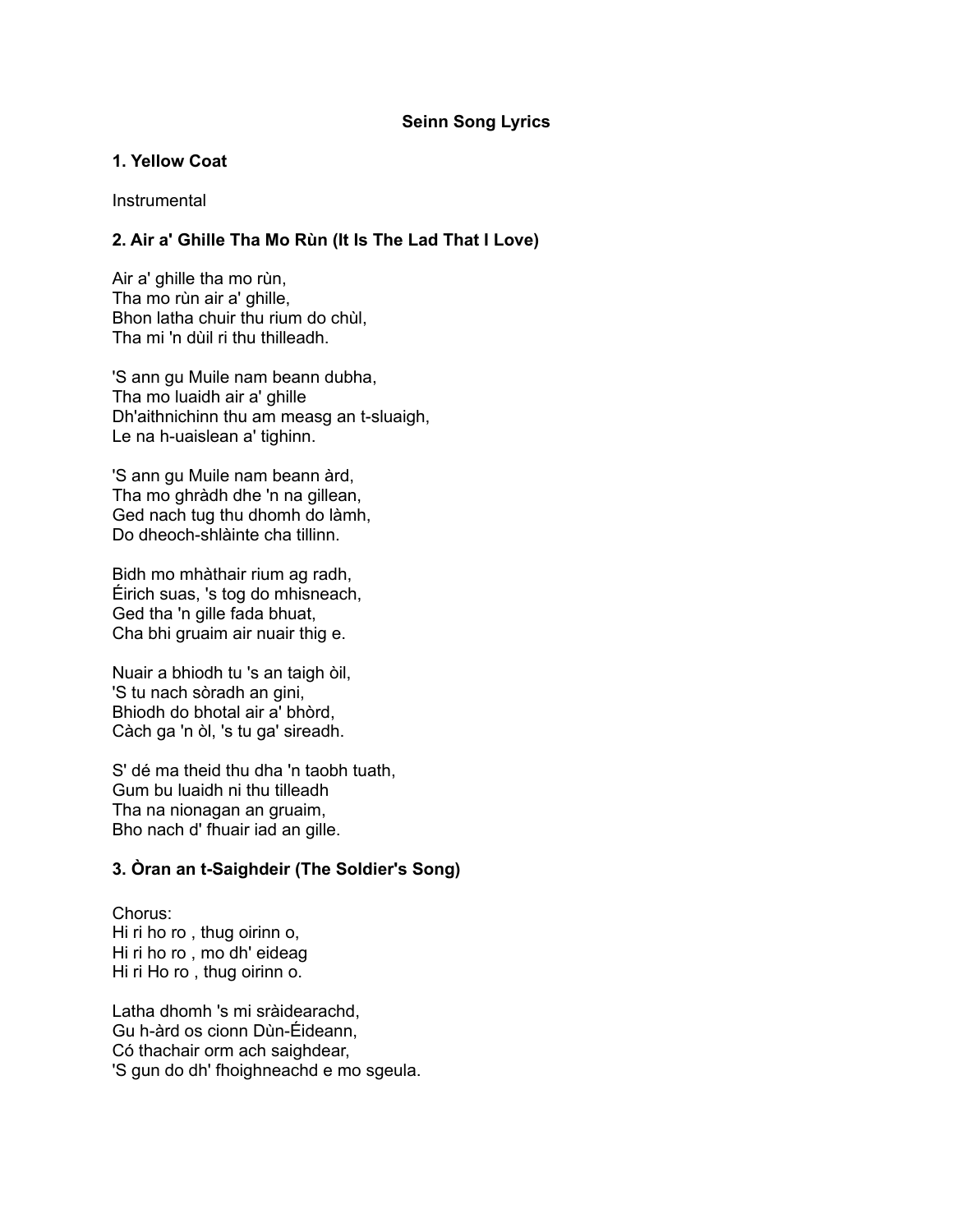# **Seinn Song Lyrics**

### **1. Yellow Coat**

**Instrumental** 

# **2. Air a' Ghille Tha Mo Rùn (It Is The Lad That I Love)**

Air a' ghille tha mo rùn, Tha mo rùn air a' ghille, Bhon latha chuir thu rium do chùl, Tha mi 'n dùil ri thu thilleadh.

'S ann gu Muile nam beann dubha, Tha mo luaidh air a' ghille Dh'aithnichinn thu am measg an t-sluaigh, Le na h-uaislean a' tighinn.

'S ann gu Muile nam beann àrd, Tha mo ghràdh dhe 'n na gillean, Ged nach tug thu dhomh do làmh, Do dheoch-shlàinte cha tillinn.

Bidh mo mhàthair rium ag radh, Éirich suas, 's tog do mhisneach, Ged tha 'n gille fada bhuat, Cha bhi gruaim air nuair thig e.

Nuair a bhiodh tu 's an taigh òil, 'S tu nach sòradh an gini, Bhiodh do bhotal air a' bhòrd, Càch ga 'n òl, 's tu ga' sireadh.

S' dé ma theid thu dha 'n taobh tuath, Gum bu luaidh ni thu tilleadh Tha na nionagan an gruaim, Bho nach d' fhuair iad an gille.

# **3. Òran an t-Saighdeir (The Soldier's Song)**

Chorus: Hi ri ho ro , thug oirinn o, Hi ri ho ro , mo dh' eideag Hi ri Ho ro , thug oirinn o.

Latha dhomh 's mi sràidearachd, Gu h-àrd os cionn Dùn-Éideann, Có thachair orm ach saighdear, 'S gun do dh' fhoighneachd e mo sgeula.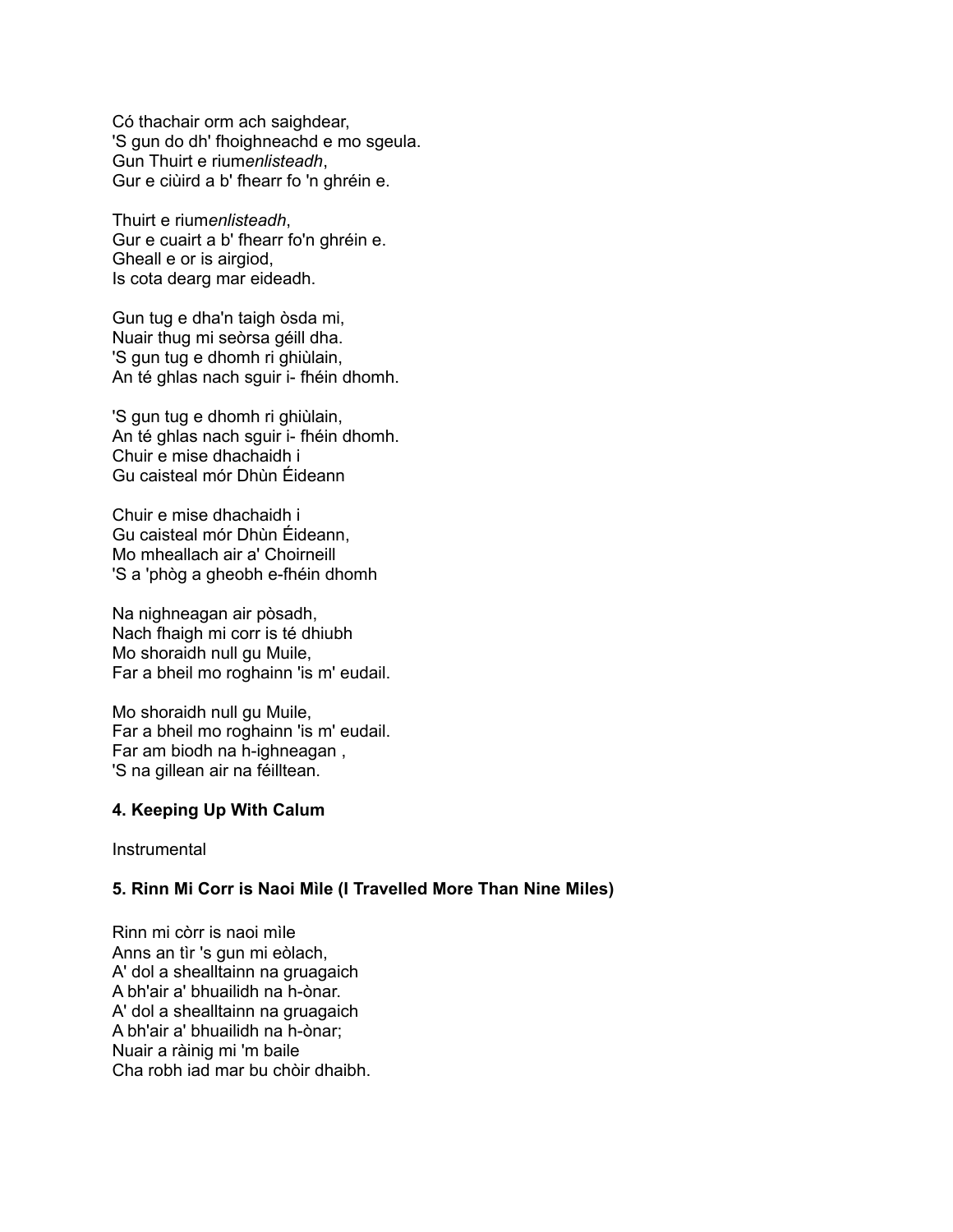Có thachair orm ach saighdear, 'S gun do dh' fhoighneachd e mo sgeula. Gun Thuirt e rium*enlisteadh*, Gur e ciùird a b' fhearr fo 'n ghréin e.

Thuirt e rium*enlisteadh*, Gur e cuairt a b' fhearr fo'n ghréin e. Gheall e or is airgiod, Is cota dearg mar eideadh.

Gun tug e dha'n taigh òsda mi, Nuair thug mi seòrsa géill dha. 'S gun tug e dhomh ri ghiùlain, An té ghlas nach sguir i- fhéin dhomh.

'S gun tug e dhomh ri ghiùlain, An té ghlas nach sguir i- fhéin dhomh. Chuir e mise dhachaidh i Gu caisteal mór Dhùn Éideann

Chuir e mise dhachaidh i Gu caisteal mór Dhùn Éideann, Mo mheallach air a' Choirneill 'S a 'phòg a gheobh e-fhéin dhomh

Na nighneagan air pòsadh, Nach fhaigh mi corr is té dhiubh Mo shoraidh null gu Muile, Far a bheil mo roghainn 'is m' eudail.

Mo shoraidh null gu Muile, Far a bheil mo roghainn 'is m' eudail. Far am biodh na h-ighneagan , 'S na gillean air na féilltean.

#### **4. Keeping Up With Calum**

**Instrumental** 

#### **5. Rinn Mi Corr is Naoi Mìle (I Travelled More Than Nine Miles)**

Rinn mi còrr is naoi mìle Anns an tìr 's gun mi eòlach, A' dol a shealltainn na gruagaich A bh'air a' bhuailidh na h-ònar. A' dol a shealltainn na gruagaich A bh'air a' bhuailidh na h-ònar; Nuair a ràinig mi 'm baile Cha robh iad mar bu chòir dhaibh.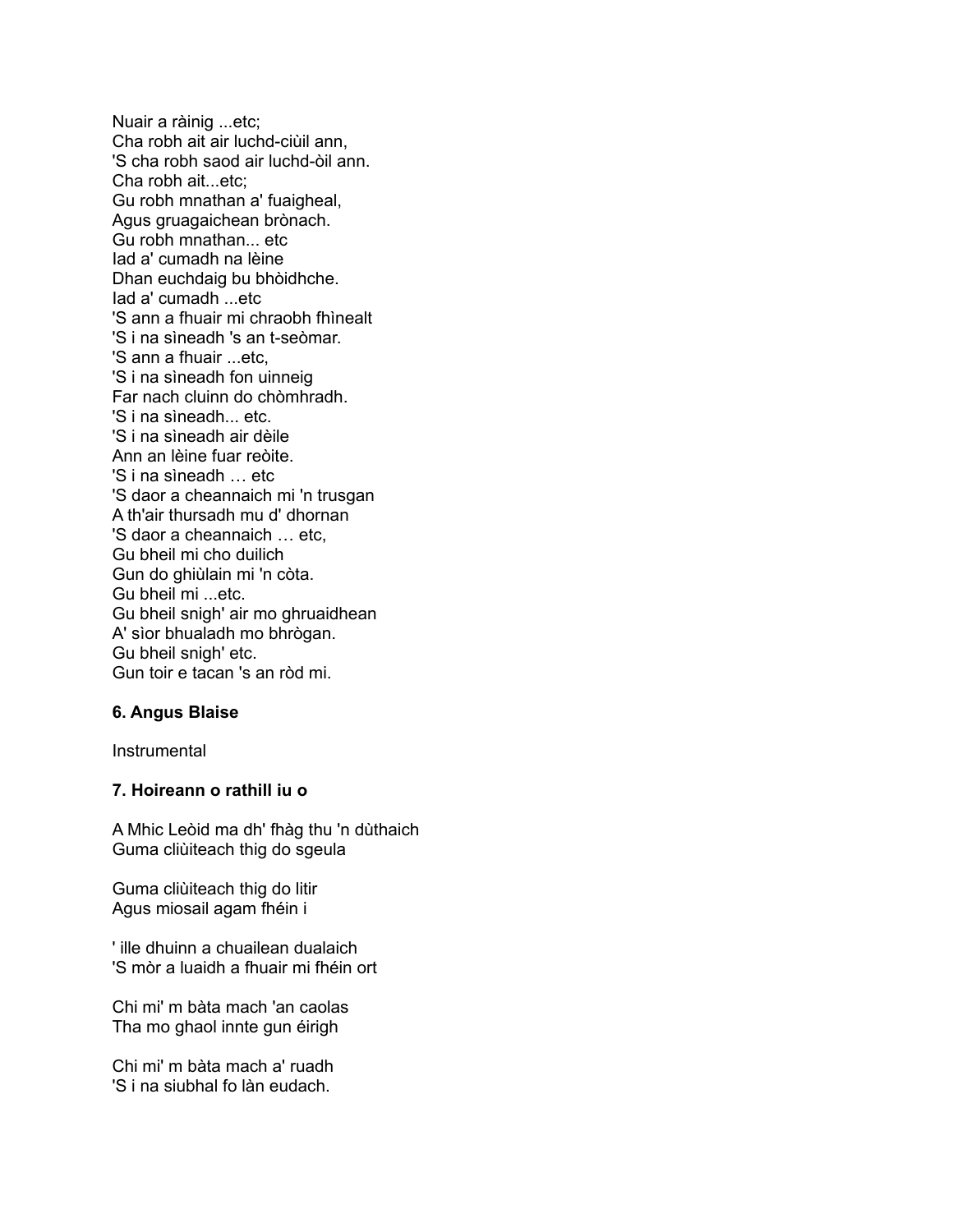Nuair a ràinig ...etc; Cha robh ait air luchd-ciùil ann, 'S cha robh saod air luchd-òil ann. Cha robh ait...etc; Gu robh mnathan a' fuaigheal, Agus gruagaichean brònach. Gu robh mnathan... etc Iad a' cumadh na lèine Dhan euchdaig bu bhòidhche. Iad a' cumadh ...etc 'S ann a fhuair mi chraobh fhìnealt 'S i na sìneadh 's an t-seòmar. 'S ann a fhuair ...etc, 'S i na sìneadh fon uinneig Far nach cluinn do chòmhradh. 'S i na sìneadh etc. 'S i na sìneadh air dèile Ann an lèine fuar reòite. 'S i na sìneadh … etc 'S daor a cheannaich mi 'n trusgan A th'air thursadh mu d' dhornan 'S daor a cheannaich … etc, Gu bheil mi cho duilich Gun do ghiùlain mi 'n còta. Gu bheil mi ...etc. Gu bheil snigh' air mo ghruaidhean A' sìor bhualadh mo bhrògan. Gu bheil snigh' etc. Gun toir e tacan 's an ròd mi.

#### **6. Angus Blaise**

Instrumental

# **7. Hoireann o rathill iu o**

A Mhic Leòid ma dh' fhàg thu 'n dùthaich Guma cliùiteach thig do sgeula

Guma cliùiteach thig do litir Agus miosail agam fhéin i

' ille dhuinn a chuailean dualaich 'S mòr a luaidh a fhuair mi fhéin ort

Chi mi' m bàta mach 'an caolas Tha mo ghaol innte gun éirigh

Chi mi' m bàta mach a' ruadh 'S i na siubhal fo làn eudach.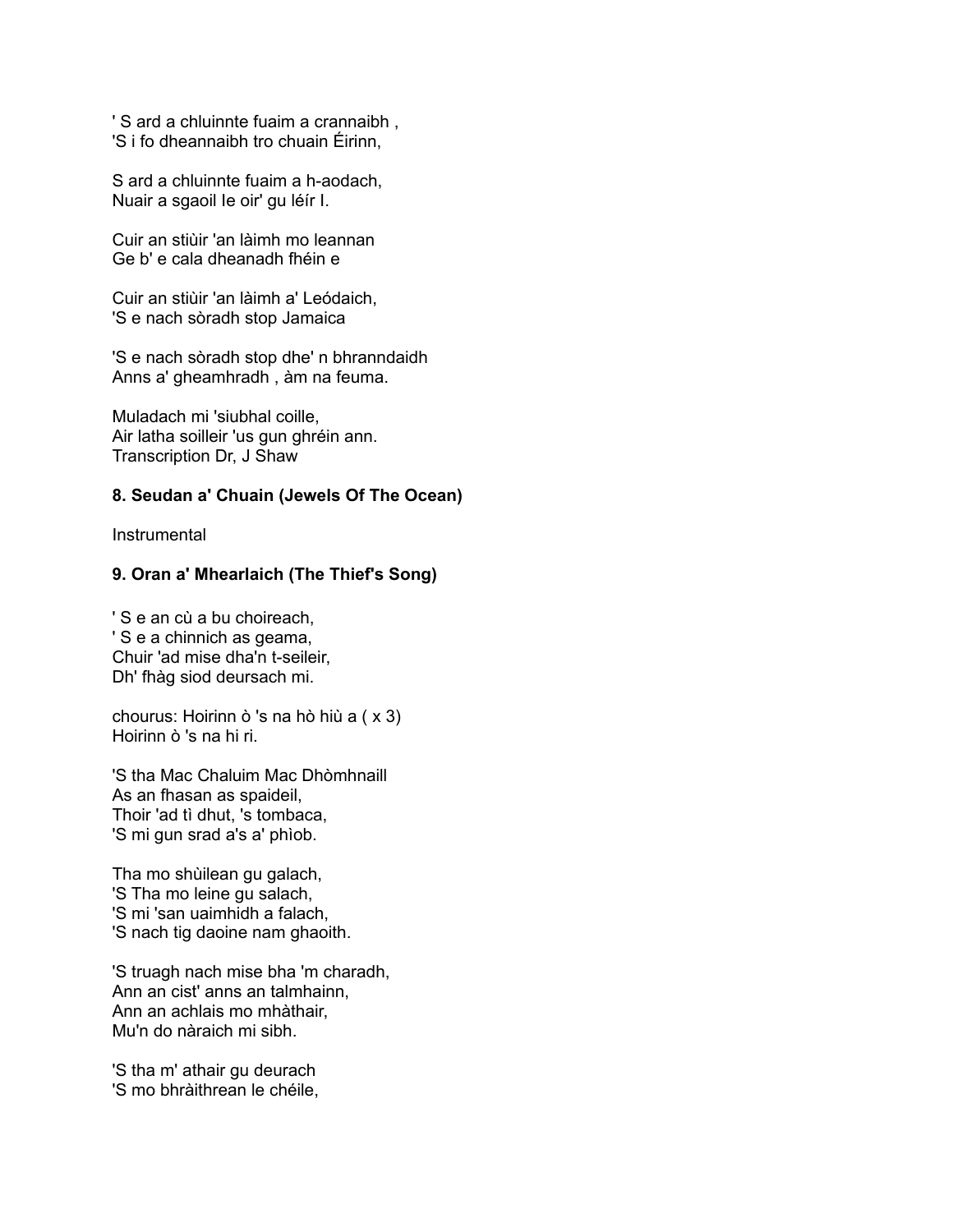' S ard a chluinnte fuaim a crannaibh , 'S i fo dheannaibh tro chuain Éirinn,

S ard a chluinnte fuaim a h-aodach, Nuair a sgaoil Ie oir' gu léír I.

Cuir an stiùir 'an làimh mo leannan Ge b' e cala dheanadh fhéin e

Cuir an stiùir 'an làimh a' Leódaich, 'S e nach sòradh stop Jamaica

'S e nach sòradh stop dhe' n bhranndaidh Anns a' gheamhradh , àm na feuma.

Muladach mi 'siubhal coille, Air latha soilleir 'us gun ghréin ann. Transcription Dr, J Shaw

### **8. Seudan a' Chuain (Jewels Of The Ocean)**

**Instrumental** 

# **9. Oran a' Mhearlaich (The Thief's Song)**

' S e an cù a bu choireach, ' S e a chinnich as geama, Chuir 'ad mise dha'n t-seileir, Dh' fhàg siod deursach mi.

chourus: Hoirinn ò 's na hò hiù a ( x 3) Hoirinn ò 's na hi ri.

'S tha Mac Chaluim Mac Dhòmhnaill As an fhasan as spaideil, Thoir 'ad tì dhut, 's tombaca, 'S mi gun srad a's a' phìob.

Tha mo shùilean gu galach, 'S Tha mo leine gu salach, 'S mi 'san uaimhidh a falach, 'S nach tig daoine nam ghaoith.

'S truagh nach mise bha 'm charadh, Ann an cist' anns an talmhainn, Ann an achlais mo mhàthair, Mu'n do nàraich mi sibh.

'S tha m' athair gu deurach 'S mo bhràithrean le chéile,